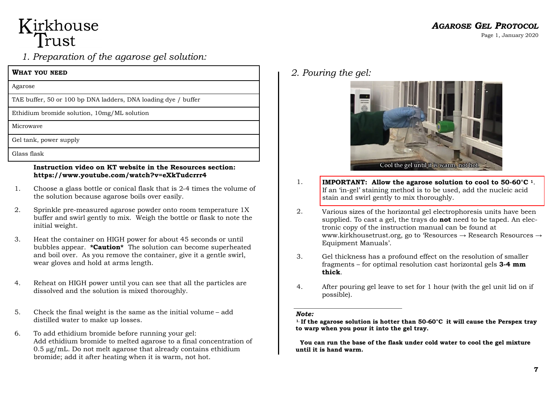# Kirkhouse<br>Trust

# *1. Preparation of the agarose gel solution:*

| WHAT YOU NEED                                                  |
|----------------------------------------------------------------|
| Agarose                                                        |
| TAE buffer, 50 or 100 bp DNA ladders, DNA loading dye / buffer |
| Ethidium bromide solution, 10mg/ML solution                    |
| Microwaye                                                      |
| Gel tank, power supply                                         |
| Glass flask                                                    |
|                                                                |

#### **Instruction video on KT website in the Resources section: https://www.youtube.com/watch?v=eXkTudcrrr4**

- 1. Choose a glass bottle or conical flask that is 2-4 times the volume of the solution because agarose boils over easily.
- 2. Sprinkle pre-measured agarose powder onto room temperature 1X buffer and swirl gently to mix. Weigh the bottle or flask to note the initial weight.
- 3. Heat the container on HIGH power for about 45 seconds or until bubbles appear. **\*Caution\*** The solution can become superheated and boil over. As you remove the container, give it a gentle swirl, wear gloves and hold at arms length.
- 4. Reheat on HIGH power until you can see that all the particles are dissolved and the solution is mixed thoroughly.
- 5. Check the final weight is the same as the initial volume add distilled water to make up losses.
- 6. To add ethidium bromide before running your gel: Add ethidium bromide to melted agarose to a final concentration of 0.5 µg/mL. Do not melt agarose that already contains ethidium bromide; add it after heating when it is warm, not hot.

*2. Pouring the gel:*



- 1. **IMPORTANT: Allow the agarose solution to cool to 50-60°C 1**. If an 'in-gel' staining method is to be used, add the nucleic acid stain and swirl gently to mix thoroughly.
- 2. Various sizes of the horizontal gel electrophoresis units have been supplied. To cast a gel, the trays do **not** need to be taped. An electronic copy of the instruction manual can be found at www.kirkhousetrust.org, go to 'Resources → Research Resources → Equipment Manuals'.
- 3. Gel thickness has a profound effect on the resolution of smaller fragments – for optimal resolution cast horizontal gels **3-4 mm thick**.
- 4. After pouring gel leave to set for 1 hour (with the gel unit lid on if possible).

#### *Note:*

**1. If the agarose solution is hotter than 50-60°C it will cause the Perspex tray to warp when you pour it into the gel tray.**

 **You can run the base of the flask under cold water to cool the gel mixture until it is hand warm.**